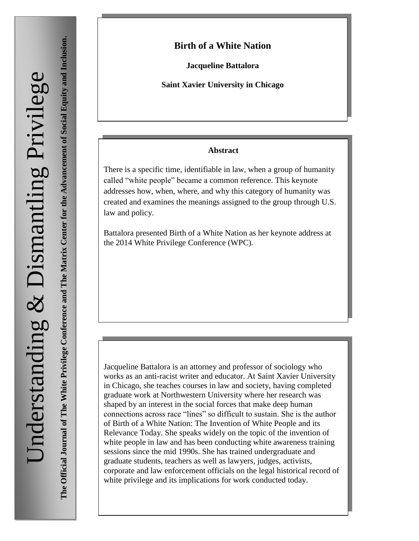# **Birth of a White Nation**

**Jacqueline Battalora**

**Saint Xavier University in Chicago**

#### **Abstract**

There is a specific time, identifiable in law, when a group of humanity called "white people" became a common reference. This keynote addresses how, when, where, and why this category of humanity was created and examines the meanings assigned to the group through U.S. law and policy.

Battalora presented Birth of a White Nation as her keynote address at the 2014 White Privilege Conference (WPC).

Jacqueline Battalora is an attorney and professor of sociology who works as an anti-racist writer and educator. At Saint Xavier University in Chicago, she teaches courses in law and society, having completed graduate work at Northwestern University where her research was shaped by an interest in the social forces that make deep human connections across race "lines" so difficult to sustain. She is the author of Birth of a White Nation: The Invention of White People and its Relevance Today. She speaks widely on the topic of the invention of white people in law and has been conducting white awareness training sessions since the mid 1990s. She has trained undergraduate and graduate students, teachers as well as lawyers, judges, activists, corporate and law enforcement officials on the legal historical record of white privilege and its implications for work conducted today.

**The Matrix Center for the Advancement of Social Equity and Inclusion.**

The Official Journal of The White Privilege Conference and The Matrix Center for the Advancement of Social Equity and Inclusion.

**The Official Journal of The White Privilege Conference and**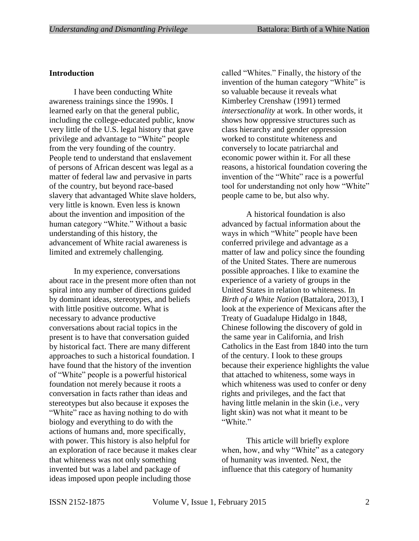#### **Introduction**

I have been conducting White awareness trainings since the 1990s. I learned early on that the general public, including the college-educated public, know very little of the U.S. legal history that gave privilege and advantage to "White" people from the very founding of the country. People tend to understand that enslavement of persons of African descent was legal as a matter of federal law and pervasive in parts of the country, but beyond race-based slavery that advantaged White slave holders, very little is known. Even less is known about the invention and imposition of the human category "White." Without a basic understanding of this history, the advancement of White racial awareness is limited and extremely challenging.

In my experience, conversations about race in the present more often than not spiral into any number of directions guided by dominant ideas, stereotypes, and beliefs with little positive outcome. What is necessary to advance productive conversations about racial topics in the present is to have that conversation guided by historical fact. There are many different approaches to such a historical foundation. I have found that the history of the invention of "White" people is a powerful historical foundation not merely because it roots a conversation in facts rather than ideas and stereotypes but also because it exposes the "White" race as having nothing to do with biology and everything to do with the actions of humans and, more specifically, with power. This history is also helpful for an exploration of race because it makes clear that whiteness was not only something invented but was a label and package of ideas imposed upon people including those

called "Whites." Finally, the history of the invention of the human category "White" is so valuable because it reveals what Kimberley Crenshaw (1991) termed *intersectionality* at work. In other words, it shows how oppressive structures such as class hierarchy and gender oppression worked to constitute whiteness and conversely to locate patriarchal and economic power within it. For all these reasons, a historical foundation covering the invention of the "White" race is a powerful tool for understanding not only how "White" people came to be, but also why.

A historical foundation is also advanced by factual information about the ways in which "White" people have been conferred privilege and advantage as a matter of law and policy since the founding of the United States. There are numerous possible approaches. I like to examine the experience of a variety of groups in the United States in relation to whiteness. In *Birth of a White Nation* (Battalora, 2013), I look at the experience of Mexicans after the Treaty of Guadalupe Hidalgo in 1848, Chinese following the discovery of gold in the same year in California, and Irish Catholics in the East from 1840 into the turn of the century. I look to these groups because their experience highlights the value that attached to whiteness, some ways in which whiteness was used to confer or deny rights and privileges, and the fact that having little melanin in the skin (i.e., very light skin) was not what it meant to be "White."

This article will briefly explore when, how, and why "White" as a category of humanity was invented. Next, the influence that this category of humanity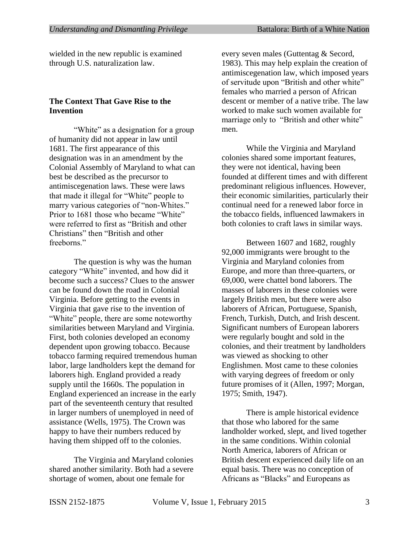wielded in the new republic is examined through U.S. naturalization law.

## **The Context That Gave Rise to the Invention**

"White" as a designation for a group of humanity did not appear in law until 1681. The first appearance of this designation was in an amendment by the Colonial Assembly of Maryland to what can best be described as the precursor to antimiscegenation laws. These were laws that made it illegal for "White" people to marry various categories of "non-Whites." Prior to 1681 those who became "White" were referred to first as "British and other Christians" then "British and other freeborns."

The question is why was the human category "White" invented, and how did it become such a success? Clues to the answer can be found down the road in Colonial Virginia. Before getting to the events in Virginia that gave rise to the invention of "White" people, there are some noteworthy similarities between Maryland and Virginia. First, both colonies developed an economy dependent upon growing tobacco. Because tobacco farming required tremendous human labor, large landholders kept the demand for laborers high. England provided a ready supply until the 1660s. The population in England experienced an increase in the early part of the seventeenth century that resulted in larger numbers of unemployed in need of assistance (Wells, 1975). The Crown was happy to have their numbers reduced by having them shipped off to the colonies.

The Virginia and Maryland colonies shared another similarity. Both had a severe shortage of women, about one female for

every seven males (Guttentag & Secord, 1983). This may help explain the creation of antimiscegenation law, which imposed years of servitude upon "British and other white" females who married a person of African descent or member of a native tribe. The law worked to make such women available for marriage only to "British and other white" men.

While the Virginia and Maryland colonies shared some important features, they were not identical, having been founded at different times and with different predominant religious influences. However, their economic similarities, particularly their continual need for a renewed labor force in the tobacco fields, influenced lawmakers in both colonies to craft laws in similar ways.

Between 1607 and 1682, roughly 92,000 immigrants were brought to the Virginia and Maryland colonies from Europe, and more than three-quarters, or 69,000, were chattel bond laborers. The masses of laborers in these colonies were largely British men, but there were also laborers of African, Portuguese, Spanish, French, Turkish, Dutch, and Irish descent. Significant numbers of European laborers were regularly bought and sold in the colonies, and their treatment by landholders was viewed as shocking to other Englishmen. Most came to these colonies with varying degrees of freedom or only future promises of it (Allen, 1997; Morgan, 1975; Smith, 1947).

There is ample historical evidence that those who labored for the same landholder worked, slept, and lived together in the same conditions. Within colonial North America, laborers of African or British descent experienced daily life on an equal basis. There was no conception of Africans as "Blacks" and Europeans as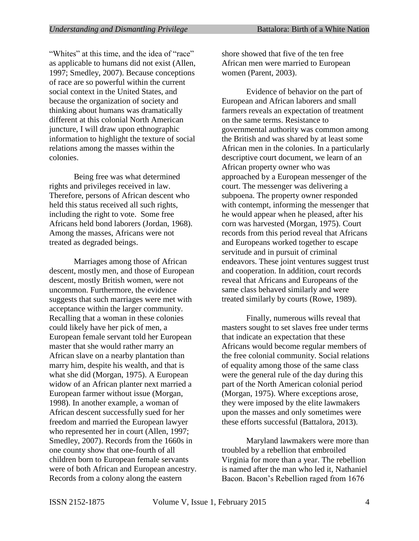"Whites" at this time, and the idea of "race" as applicable to humans did not exist (Allen, 1997; Smedley, 2007). Because conceptions of race are so powerful within the current social context in the United States, and because the organization of society and thinking about humans was dramatically different at this colonial North American juncture, I will draw upon ethnographic information to highlight the texture of social relations among the masses within the colonies.

Being free was what determined rights and privileges received in law. Therefore, persons of African descent who held this status received all such rights, including the right to vote. Some free Africans held bond laborers (Jordan, 1968). Among the masses, Africans were not treated as degraded beings.

Marriages among those of African descent, mostly men, and those of European descent, mostly British women, were not uncommon. Furthermore, the evidence suggests that such marriages were met with acceptance within the larger community. Recalling that a woman in these colonies could likely have her pick of men, a European female servant told her European master that she would rather marry an African slave on a nearby plantation than marry him, despite his wealth, and that is what she did (Morgan, 1975). A European widow of an African planter next married a European farmer without issue (Morgan, 1998). In another example, a woman of African descent successfully sued for her freedom and married the European lawyer who represented her in court (Allen, 1997; Smedley, 2007). Records from the 1660s in one county show that one-fourth of all children born to European female servants were of both African and European ancestry. Records from a colony along the eastern

shore showed that five of the ten free African men were married to European women (Parent, 2003).

Evidence of behavior on the part of European and African laborers and small farmers reveals an expectation of treatment on the same terms. Resistance to governmental authority was common among the British and was shared by at least some African men in the colonies. In a particularly descriptive court document, we learn of an African property owner who was approached by a European messenger of the court. The messenger was delivering a subpoena. The property owner responded with contempt, informing the messenger that he would appear when he pleased, after his corn was harvested (Morgan, 1975). Court records from this period reveal that Africans and Europeans worked together to escape servitude and in pursuit of criminal endeavors. These joint ventures suggest trust and cooperation. In addition, court records reveal that Africans and Europeans of the same class behaved similarly and were treated similarly by courts (Rowe, 1989).

Finally, numerous wills reveal that masters sought to set slaves free under terms that indicate an expectation that these Africans would become regular members of the free colonial community. Social relations of equality among those of the same class were the general rule of the day during this part of the North American colonial period (Morgan, 1975). Where exceptions arose, they were imposed by the elite lawmakers upon the masses and only sometimes were these efforts successful (Battalora, 2013).

Maryland lawmakers were more than troubled by a rebellion that embroiled Virginia for more than a year. The rebellion is named after the man who led it, Nathaniel Bacon. Bacon's Rebellion raged from 1676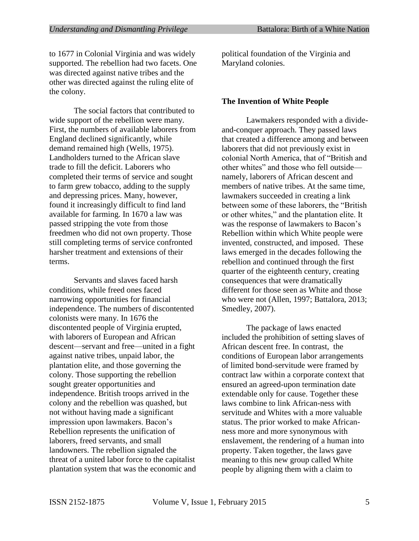to 1677 in Colonial Virginia and was widely supported. The rebellion had two facets. One was directed against native tribes and the other was directed against the ruling elite of the colony.

The social factors that contributed to wide support of the rebellion were many. First, the numbers of available laborers from England declined significantly, while demand remained high (Wells, 1975). Landholders turned to the African slave trade to fill the deficit. Laborers who completed their terms of service and sought to farm grew tobacco, adding to the supply and depressing prices. Many, however, found it increasingly difficult to find land available for farming. In 1670 a law was passed stripping the vote from those freedmen who did not own property. Those still completing terms of service confronted harsher treatment and extensions of their terms.

Servants and slaves faced harsh conditions, while freed ones faced narrowing opportunities for financial independence. The numbers of discontented colonists were many. In 1676 the discontented people of Virginia erupted, with laborers of European and African descent—servant and free—united in a fight against native tribes, unpaid labor, the plantation elite, and those governing the colony. Those supporting the rebellion sought greater opportunities and independence. British troops arrived in the colony and the rebellion was quashed, but not without having made a significant impression upon lawmakers. Bacon's Rebellion represents the unification of laborers, freed servants, and small landowners. The rebellion signaled the threat of a united labor force to the capitalist plantation system that was the economic and political foundation of the Virginia and Maryland colonies.

#### **The Invention of White People**

Lawmakers responded with a divideand-conquer approach. They passed laws that created a difference among and between laborers that did not previously exist in colonial North America, that of "British and other whites" and those who fell outside namely, laborers of African descent and members of native tribes. At the same time, lawmakers succeeded in creating a link between some of these laborers, the "British or other whites," and the plantation elite. It was the response of lawmakers to Bacon's Rebellion within which White people were invented, constructed, and imposed. These laws emerged in the decades following the rebellion and continued through the first quarter of the eighteenth century, creating consequences that were dramatically different for those seen as White and those who were not (Allen, 1997; Battalora, 2013; Smedley, 2007).

The package of laws enacted included the prohibition of setting slaves of African descent free. In contrast, the conditions of European labor arrangements of limited bond-servitude were framed by contract law within a corporate context that ensured an agreed-upon termination date extendable only for cause. Together these laws combine to link African-ness with servitude and Whites with a more valuable status. The prior worked to make Africanness more and more synonymous with enslavement, the rendering of a human into property. Taken together, the laws gave meaning to this new group called White people by aligning them with a claim to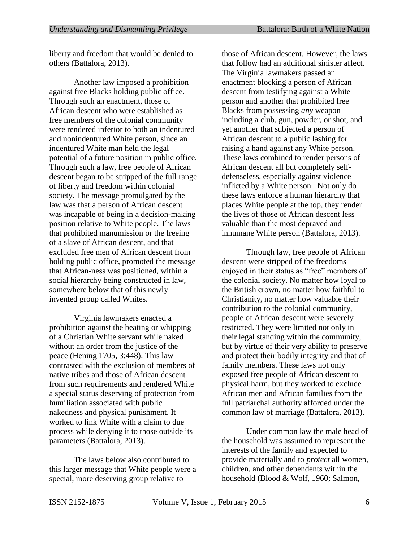liberty and freedom that would be denied to others (Battalora, 2013).

Another law imposed a prohibition against free Blacks holding public office. Through such an enactment, those of African descent who were established as free members of the colonial community were rendered inferior to both an indentured and nonindentured White person, since an indentured White man held the legal potential of a future position in public office. Through such a law, free people of African descent began to be stripped of the full range of liberty and freedom within colonial society. The message promulgated by the law was that a person of African descent was incapable of being in a decision-making position relative to White people. The laws that prohibited manumission or the freeing of a slave of African descent, and that excluded free men of African descent from holding public office, promoted the message that African-ness was positioned, within a social hierarchy being constructed in law, somewhere below that of this newly invented group called Whites.

Virginia lawmakers enacted a prohibition against the beating or whipping of a Christian White servant while naked without an order from the justice of the peace (Hening 1705, 3:448). This law contrasted with the exclusion of members of native tribes and those of African descent from such requirements and rendered White a special status deserving of protection from humiliation associated with public nakedness and physical punishment. It worked to link White with a claim to due process while denying it to those outside its parameters (Battalora, 2013).

The laws below also contributed to this larger message that White people were a special, more deserving group relative to

those of African descent. However, the laws that follow had an additional sinister affect. The Virginia lawmakers passed an enactment blocking a person of African descent from testifying against a White person and another that prohibited free Blacks from possessing *any* weapon including a club, gun, powder, or shot, and yet another that subjected a person of African descent to a public lashing for raising a hand against any White person. These laws combined to render persons of African descent all but completely selfdefenseless, especially against violence inflicted by a White person. Not only do these laws enforce a human hierarchy that places White people at the top, they render the lives of those of African descent less valuable than the most depraved and inhumane White person (Battalora, 2013).

Through law, free people of African descent were stripped of the freedoms enjoyed in their status as "free" members of the colonial society. No matter how loyal to the British crown, no matter how faithful to Christianity, no matter how valuable their contribution to the colonial community, people of African descent were severely restricted. They were limited not only in their legal standing within the community, but by virtue of their very ability to preserve and protect their bodily integrity and that of family members. These laws not only exposed free people of African descent to physical harm, but they worked to exclude African men and African families from the full patriarchal authority afforded under the common law of marriage (Battalora, 2013).

Under common law the male head of the household was assumed to represent the interests of the family and expected to provide materially and to *protect* all women, children, and other dependents within the household (Blood & Wolf, 1960; Salmon,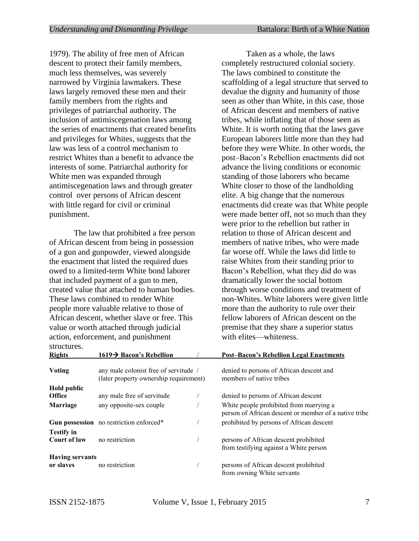1979). The ability of free men of African descent to protect their family members, much less themselves, was severely narrowed by Virginia lawmakers. These laws largely removed these men and their family members from the rights and privileges of patriarchal authority. The inclusion of antimiscegenation laws among the series of enactments that created benefits and privileges for Whites, suggests that the law was less of a control mechanism to restrict Whites than a benefit to advance the interests of some. Patriarchal authority for White men was expanded through antimiscegenation laws and through greater control over persons of African descent with little regard for civil or criminal punishment.

The law that prohibited a free person of African descent from being in possession of a gun and gunpowder, viewed alongside the enactment that listed the required dues owed to a limited-term White bond laborer that included payment of a gun to men, created value that attached to human bodies. These laws combined to render White people more valuable relative to those of African descent, whether slave or free. This value or worth attached through judicial action, enforcement, and punishment structures.

Taken as a whole, the laws completely restructured colonial society. The laws combined to constitute the scaffolding of a legal structure that served to devalue the dignity and humanity of those seen as other than White, in this case, those of African descent and members of native tribes, while inflating that of those seen as White. It is worth noting that the laws gave European laborers little more than they had before they were White. In other words, the post–Bacon's Rebellion enactments did not advance the living conditions or economic standing of those laborers who became White closer to those of the landholding elite. A big change that the numerous enactments did create was that White people were made better off, not so much than they were prior to the rebellion but rather in relation to those of African descent and members of native tribes, who were made far worse off. While the laws did little to raise Whites from their standing prior to Bacon's Rebellion, what they did do was dramatically lower the social bottom through worse conditions and treatment of non-Whites. White laborers were given little more than the authority to rule over their fellow laborers of African descent on the premise that they share a superior status with elites—whiteness.

| su uctures.<br><b>Rights</b> | 1619→ Bacon's Rebellion                                                         |  | <b>Post-Bacon's Rebellion Legal Enactments</b>                                                   |
|------------------------------|---------------------------------------------------------------------------------|--|--------------------------------------------------------------------------------------------------|
| <b>Voting</b>                | any male colonist free of servitude /<br>(later property ownership requirement) |  | denied to persons of African descent and<br>members of native tribes                             |
| Hold public                  |                                                                                 |  |                                                                                                  |
| <b>Office</b>                | any male free of servitude                                                      |  | denied to persons of African descent                                                             |
| <b>Marriage</b>              | any opposite-sex couple                                                         |  | White people prohibited from marrying a<br>person of African descent or member of a native tribe |
|                              | Gun possession no restriction enforced*                                         |  | prohibited by persons of African descent                                                         |
| <b>Testify</b> in            |                                                                                 |  |                                                                                                  |
| <b>Court of law</b>          | no restriction                                                                  |  | persons of African descent prohibited                                                            |
|                              |                                                                                 |  | from testifying against a White person                                                           |
| <b>Having servants</b>       |                                                                                 |  |                                                                                                  |
| or slaves                    | no restriction                                                                  |  | persons of African descent prohibited<br>from owning White servants                              |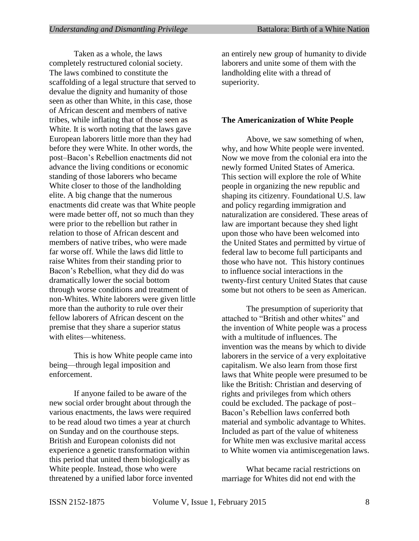Taken as a whole, the laws completely restructured colonial society. The laws combined to constitute the scaffolding of a legal structure that served to devalue the dignity and humanity of those seen as other than White, in this case, those of African descent and members of native tribes, while inflating that of those seen as White. It is worth noting that the laws gave European laborers little more than they had before they were White. In other words, the post–Bacon's Rebellion enactments did not advance the living conditions or economic standing of those laborers who became White closer to those of the landholding elite. A big change that the numerous enactments did create was that White people were made better off, not so much than they were prior to the rebellion but rather in relation to those of African descent and members of native tribes, who were made far worse off. While the laws did little to raise Whites from their standing prior to Bacon's Rebellion, what they did do was dramatically lower the social bottom through worse conditions and treatment of non-Whites. White laborers were given little more than the authority to rule over their fellow laborers of African descent on the premise that they share a superior status with elites—whiteness.

This is how White people came into being—through legal imposition and enforcement.

If anyone failed to be aware of the new social order brought about through the various enactments, the laws were required to be read aloud two times a year at church on Sunday and on the courthouse steps. British and European colonists did not experience a genetic transformation within this period that united them biologically as White people. Instead, those who were threatened by a unified labor force invented an entirely new group of humanity to divide laborers and unite some of them with the landholding elite with a thread of superiority.

#### **The Americanization of White People**

Above, we saw something of when, why, and how White people were invented. Now we move from the colonial era into the newly formed United States of America. This section will explore the role of White people in organizing the new republic and shaping its citizenry. Foundational U.S. law and policy regarding immigration and naturalization are considered. These areas of law are important because they shed light upon those who have been welcomed into the United States and permitted by virtue of federal law to become full participants and those who have not. This history continues to influence social interactions in the twenty-first century United States that cause some but not others to be seen as American.

The presumption of superiority that attached to "British and other whites" and the invention of White people was a process with a multitude of influences. The invention was the means by which to divide laborers in the service of a very exploitative capitalism. We also learn from those first laws that White people were presumed to be like the British: Christian and deserving of rights and privileges from which others could be excluded. The package of post– Bacon's Rebellion laws conferred both material and symbolic advantage to Whites. Included as part of the value of whiteness for White men was exclusive marital access to White women via antimiscegenation laws.

What became racial restrictions on marriage for Whites did not end with the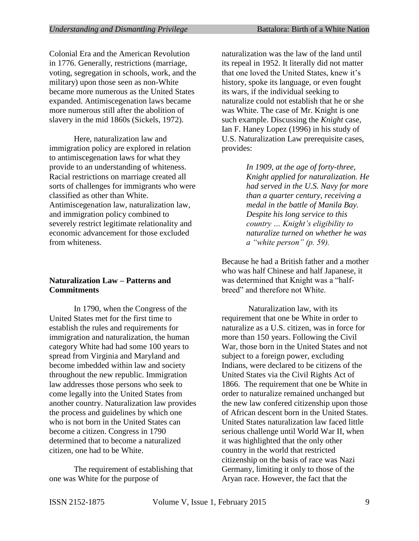Colonial Era and the American Revolution in 1776. Generally, restrictions (marriage, voting, segregation in schools, work, and the military) upon those seen as non-White became more numerous as the United States expanded. Antimiscegenation laws became more numerous still after the abolition of slavery in the mid 1860s (Sickels, 1972).

Here, naturalization law and immigration policy are explored in relation to antimiscegenation laws for what they provide to an understanding of whiteness. Racial restrictions on marriage created all sorts of challenges for immigrants who were classified as other than White. Antimiscegenation law, naturalization law, and immigration policy combined to severely restrict legitimate relationality and economic advancement for those excluded from whiteness.

#### **Naturalization Law – Patterns and Commitments**

In 1790, when the Congress of the United States met for the first time to establish the rules and requirements for immigration and naturalization, the human category White had had some 100 years to spread from Virginia and Maryland and become imbedded within law and society throughout the new republic. Immigration law addresses those persons who seek to come legally into the United States from another country. Naturalization law provides the process and guidelines by which one who is not born in the United States can become a citizen. Congress in 1790 determined that to become a naturalized citizen, one had to be White.

The requirement of establishing that one was White for the purpose of

naturalization was the law of the land until its repeal in 1952. It literally did not matter that one loved the United States, knew it's history, spoke its language, or even fought its wars, if the individual seeking to naturalize could not establish that he or she was White. The case of Mr. Knight is one such example. Discussing the *Knight* case, Ian F. Haney Lopez (1996) in his study of U.S. Naturalization Law prerequisite cases, provides:

> *In 1909, at the age of forty-three, Knight applied for naturalization. He had served in the U.S. Navy for more than a quarter century, receiving a medal in the battle of Manila Bay. Despite his long service to this country … Knight's eligibility to naturalize turned on whether he was a "white person" (p. 59).*

Because he had a British father and a mother who was half Chinese and half Japanese, it was determined that Knight was a "halfbreed" and therefore not White.

Naturalization law, with its requirement that one be White in order to naturalize as a U.S. citizen, was in force for more than 150 years. Following the Civil War, those born in the United States and not subject to a foreign power, excluding Indians, were declared to be citizens of the United States via the Civil Rights Act of 1866. The requirement that one be White in order to naturalize remained unchanged but the new law confered citizenship upon those of African descent born in the United States. United States naturalization law faced little serious challenge until World War II, when it was highlighted that the only other country in the world that restricted citizenship on the basis of race was Nazi Germany, limiting it only to those of the Aryan race. However, the fact that the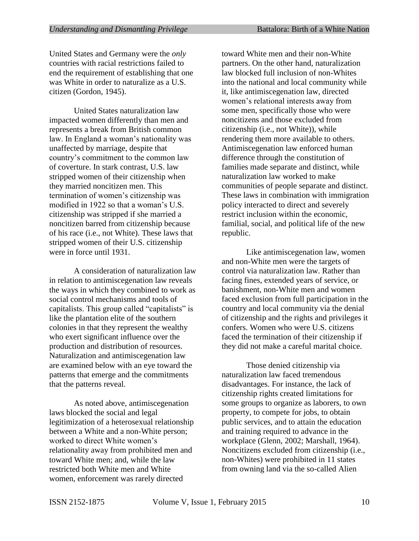United States and Germany were the *only* countries with racial restrictions failed to end the requirement of establishing that one was White in order to naturalize as a U.S. citizen (Gordon, 1945).

United States naturalization law impacted women differently than men and represents a break from British common law. In England a woman's nationality was unaffected by marriage, despite that country's commitment to the common law of coverture. In stark contrast, U.S. law stripped women of their citizenship when they married noncitizen men. This termination of women's citizenship was modified in 1922 so that a woman's U.S. citizenship was stripped if she married a noncitizen barred from citizenship because of his race (i.e., not White). These laws that stripped women of their U.S. citizenship were in force until 1931.

A consideration of naturalization law in relation to antimiscegenation law reveals the ways in which they combined to work as social control mechanisms and tools of capitalists. This group called "capitalists" is like the plantation elite of the southern colonies in that they represent the wealthy who exert significant influence over the production and distribution of resources. Naturalization and antimiscegenation law are examined below with an eye toward the patterns that emerge and the commitments that the patterns reveal.

As noted above, antimiscegenation laws blocked the social and legal legitimization of a heterosexual relationship between a White and a non-White person; worked to direct White women's relationality away from prohibited men and toward White men; and, while the law restricted both White men and White women, enforcement was rarely directed

toward White men and their non-White partners. On the other hand, naturalization law blocked full inclusion of non-Whites into the national and local community while it, like antimiscegenation law, directed women's relational interests away from some men, specifically those who were noncitizens and those excluded from citizenship (i.e., not White)), while rendering them more available to others. Antimiscegenation law enforced human difference through the constitution of families made separate and distinct, while naturalization law worked to make communities of people separate and distinct. These laws in combination with immigration policy interacted to direct and severely restrict inclusion within the economic, familial, social, and political life of the new republic.

Like antimiscegenation law, women and non-White men were the targets of control via naturalization law. Rather than facing fines, extended years of service, or banishment, non-White men and women faced exclusion from full participation in the country and local community via the denial of citizenship and the rights and privileges it confers. Women who were U.S. citizens faced the termination of their citizenship if they did not make a careful marital choice.

Those denied citizenship via naturalization law faced tremendous disadvantages. For instance, the lack of citizenship rights created limitations for some groups to organize as laborers, to own property, to compete for jobs, to obtain public services, and to attain the education and training required to advance in the workplace (Glenn, 2002; Marshall, 1964). Noncitizens excluded from citizenship (i.e., non-Whites) were prohibited in 11 states from owning land via the so-called Alien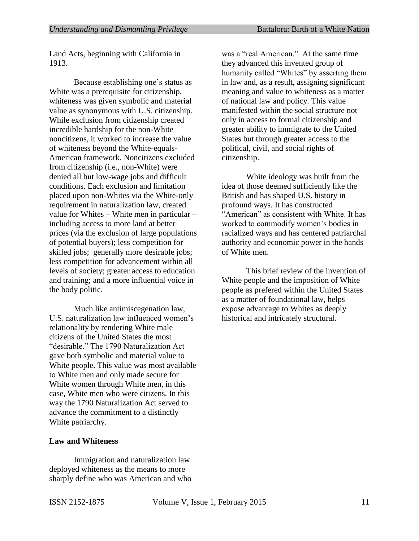Land Acts, beginning with California in 1913.

Because establishing one's status as White was a prerequisite for citizenship, whiteness was given symbolic and material value as synonymous with U.S. citizenship. While exclusion from citizenship created incredible hardship for the non-White noncitizens, it worked to increase the value of whiteness beyond the White-equals-American framework. Noncitizens excluded from citizenship (i.e., non-White) were denied all but low-wage jobs and difficult conditions. Each exclusion and limitation placed upon non-Whites via the White-only requirement in naturalization law, created value for Whites – White men in particular – including access to more land at better prices (via the exclusion of large populations of potential buyers); less competition for skilled jobs; generally more desirable jobs; less competition for advancement within all levels of society; greater access to education and training; and a more influential voice in the body politic.

Much like antimiscegenation law, U.S. naturalization law influenced women's relationality by rendering White male citizens of the United States the most "desirable." The 1790 Naturalization Act gave both symbolic and material value to White people. This value was most available to White men and only made secure for White women through White men, in this case, White men who were citizens. In this way the 1790 Naturalization Act served to advance the commitment to a distinctly White patriarchy.

#### **Law and Whiteness**

Immigration and naturalization law deployed whiteness as the means to more sharply define who was American and who

was a "real American." At the same time they advanced this invented group of humanity called "Whites" by asserting them in law and, as a result, assigning significant meaning and value to whiteness as a matter of national law and policy. This value manifested within the social structure not only in access to formal citizenship and greater ability to immigrate to the United States but through greater access to the political, civil, and social rights of citizenship.

White ideology was built from the idea of those deemed sufficiently like the British and has shaped U.S. history in profound ways. It has constructed "American" as consistent with White. It has worked to commodify women's bodies in racialized ways and has centered patriarchal authority and economic power in the hands of White men.

This brief review of the invention of White people and the imposition of White people as prefered within the United States as a matter of foundational law, helps expose advantage to Whites as deeply historical and intricately structural.